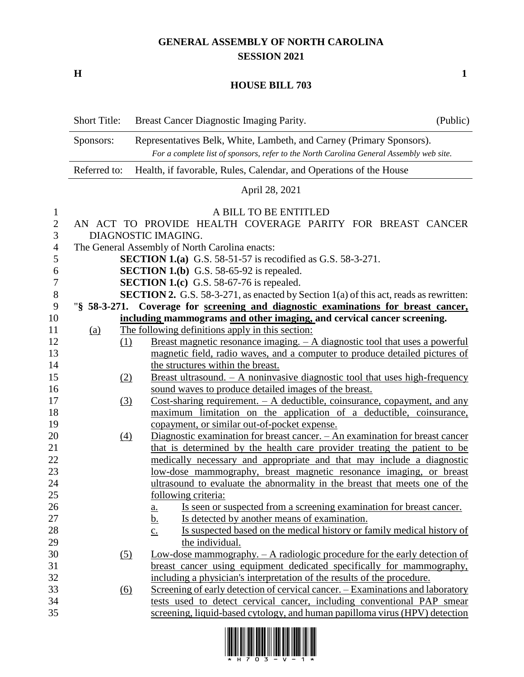## **GENERAL ASSEMBLY OF NORTH CAROLINA SESSION 2021**

**H 1**

## **HOUSE BILL 703**

|                | <b>Short Title:</b> | Breast Cancer Diagnostic Imaging Parity.                                                                                                                        | (Public) |
|----------------|---------------------|-----------------------------------------------------------------------------------------------------------------------------------------------------------------|----------|
|                | Sponsors:           | Representatives Belk, White, Lambeth, and Carney (Primary Sponsors).<br>For a complete list of sponsors, refer to the North Carolina General Assembly web site. |          |
|                | Referred to:        | Health, if favorable, Rules, Calendar, and Operations of the House                                                                                              |          |
|                |                     | April 28, 2021                                                                                                                                                  |          |
| 1              |                     | A BILL TO BE ENTITLED                                                                                                                                           |          |
| $\overline{2}$ |                     | AN ACT TO PROVIDE HEALTH COVERAGE PARITY FOR BREAST CANCER                                                                                                      |          |
| 3              |                     | DIAGNOSTIC IMAGING.                                                                                                                                             |          |
| 4              |                     | The General Assembly of North Carolina enacts:                                                                                                                  |          |
| 5              |                     | <b>SECTION 1.(a)</b> G.S. 58-51-57 is recodified as G.S. 58-3-271.                                                                                              |          |
| 6              |                     | <b>SECTION 1.(b)</b> G.S. 58-65-92 is repealed.                                                                                                                 |          |
| 7              |                     | <b>SECTION 1.(c)</b> G.S. 58-67-76 is repealed.                                                                                                                 |          |
| $8\,$          |                     | <b>SECTION 2.</b> G.S. 58-3-271, as enacted by Section 1(a) of this act, reads as rewritten:                                                                    |          |
| 9              |                     | "§ 58-3-271. Coverage for screening and diagnostic examinations for breast cancer,                                                                              |          |
| 10             |                     | including mammograms and other imaging, and cervical cancer screening.                                                                                          |          |
| 11             | <u>(a)</u>          | The following definitions apply in this section:                                                                                                                |          |
| 12             | (1)                 | Breast magnetic resonance imaging. $- A$ diagnostic tool that uses a powerful                                                                                   |          |
| 13             |                     | magnetic field, radio waves, and a computer to produce detailed pictures of                                                                                     |          |
| 14             |                     | the structures within the breast.                                                                                                                               |          |
| 15             | (2)                 | <u>Breast ultrasound. <math>- A</math> noninvasive diagnostic tool that uses high-frequency</u>                                                                 |          |
| 16             |                     | sound waves to produce detailed images of the breast.                                                                                                           |          |
| 17             | (3)                 | Cost-sharing requirement. $- A$ deductible, coinsurance, copayment, and any                                                                                     |          |
| 18             |                     | maximum limitation on the application of a deductible, coinsurance,                                                                                             |          |
| 19             |                     | copayment, or similar out-of-pocket expense.                                                                                                                    |          |
| 20             | $\frac{(4)}{4}$     | Diagnostic examination for breast cancer. - An examination for breast cancer                                                                                    |          |
| 21             |                     | that is determined by the health care provider treating the patient to be                                                                                       |          |
| 22             |                     | medically necessary and appropriate and that may include a diagnostic                                                                                           |          |
| 23             |                     | low-dose mammography, breast magnetic resonance imaging, or breast                                                                                              |          |
| 24             |                     | ultrasound to evaluate the abnormality in the breast that meets one of the                                                                                      |          |
| 25             |                     | <u>following criteria:</u>                                                                                                                                      |          |
| 26             |                     | Is seen or suspected from a screening examination for breast cancer.<br><u>a.</u>                                                                               |          |
| 27             |                     | <u>b.</u><br>Is detected by another means of examination.                                                                                                       |          |
| 28             |                     | Is suspected based on the medical history or family medical history of<br>$\underline{c}$ .                                                                     |          |
| 29             |                     | the individual.                                                                                                                                                 |          |
| 30             | $\left( 5\right)$   | Low-dose mammography. $- A$ radiologic procedure for the early detection of                                                                                     |          |
| 31             |                     | breast cancer using equipment dedicated specifically for mammography,                                                                                           |          |
| 32             |                     | including a physician's interpretation of the results of the procedure.                                                                                         |          |
| 33             | (6)                 | Screening of early detection of cervical cancer. – Examinations and laboratory                                                                                  |          |
| 34             |                     | tests used to detect cervical cancer, including conventional PAP smear                                                                                          |          |
| 35             |                     | screening, liquid-based cytology, and human papilloma virus (HPV) detection                                                                                     |          |